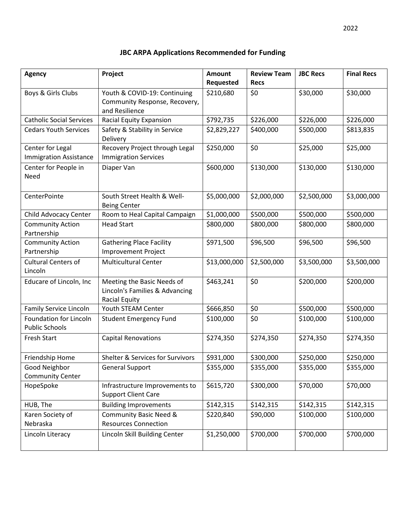| <b>Agency</b>                                          | Project                                                                              | <b>Amount</b><br>Requested | <b>Review Team</b><br><b>Recs</b> | <b>JBC Recs</b> | <b>Final Recs</b> |
|--------------------------------------------------------|--------------------------------------------------------------------------------------|----------------------------|-----------------------------------|-----------------|-------------------|
| Boys & Girls Clubs                                     | Youth & COVID-19: Continuing<br>Community Response, Recovery,<br>and Resilience      | \$210,680                  | \$0                               | \$30,000        | \$30,000          |
| <b>Catholic Social Services</b>                        | Racial Equity Expansion                                                              | \$792,735                  | \$226,000                         | \$226,000       | \$226,000         |
| <b>Cedars Youth Services</b>                           | Safety & Stability in Service<br>Delivery                                            | \$2,829,227                | \$400,000                         | \$500,000       | \$813,835         |
| Center for Legal<br><b>Immigration Assistance</b>      | Recovery Project through Legal<br><b>Immigration Services</b>                        | \$250,000                  | \$0                               | \$25,000        | \$25,000          |
| Center for People in<br>Need                           | Diaper Van                                                                           | \$600,000                  | \$130,000                         | \$130,000       | \$130,000         |
| CenterPointe                                           | South Street Health & Well-<br><b>Being Center</b>                                   | \$5,000,000                | \$2,000,000                       | \$2,500,000     | \$3,000,000       |
| Child Advocacy Center                                  | Room to Heal Capital Campaign                                                        | \$1,000,000                | \$500,000                         | \$500,000       | \$500,000         |
| <b>Community Action</b><br>Partnership                 | <b>Head Start</b>                                                                    | \$800,000                  | \$800,000                         | \$800,000       | \$800,000         |
| <b>Community Action</b><br>Partnership                 | <b>Gathering Place Facility</b><br><b>Improvement Project</b>                        | \$971,500                  | \$96,500                          | \$96,500        | \$96,500          |
| <b>Cultural Centers of</b><br>Lincoln                  | <b>Multicultural Center</b>                                                          | \$13,000,000               | \$2,500,000                       | \$3,500,000     | \$3,500,000       |
| Educare of Lincoln, Inc                                | Meeting the Basic Needs of<br>Lincoln's Families & Advancing<br><b>Racial Equity</b> | \$463,241                  | \$0                               | \$200,000       | \$200,000         |
| Family Service Lincoln                                 | Youth STEAM Center                                                                   | \$666,850                  | \$0                               | \$500,000       | \$500,000         |
| <b>Foundation for Lincoln</b><br><b>Public Schools</b> | <b>Student Emergency Fund</b>                                                        | \$100,000                  | \$0                               | \$100,000       | \$100,000         |
| Fresh Start                                            | <b>Capital Renovations</b>                                                           | \$274,350                  | \$274,350                         | \$274,350       | \$274,350         |
| Friendship Home                                        | <b>Shelter &amp; Services for Survivors</b>                                          | \$931,000                  | \$300,000                         | \$250,000       | \$250,000         |
| Good Neighbor                                          | <b>General Support</b>                                                               | \$355,000                  | \$355,000                         | \$355,000       | \$355,000         |
| <b>Community Center</b>                                |                                                                                      |                            |                                   |                 |                   |
| HopeSpoke                                              | Infrastructure Improvements to<br><b>Support Client Care</b>                         | \$615,720                  | \$300,000                         | \$70,000        | \$70,000          |
| HUB, The                                               | <b>Building Improvements</b>                                                         | \$142,315                  | \$142,315                         | \$142,315       | \$142,315         |
| Karen Society of<br>Nebraska                           | <b>Community Basic Need &amp;</b><br><b>Resources Connection</b>                     | \$220,840                  | \$90,000                          | \$100,000       | \$100,000         |
| Lincoln Literacy                                       | Lincoln Skill Building Center                                                        | \$1,250,000                | \$700,000                         | \$700,000       | \$700,000         |

## **JBC ARPA Applications Recommended for Funding**